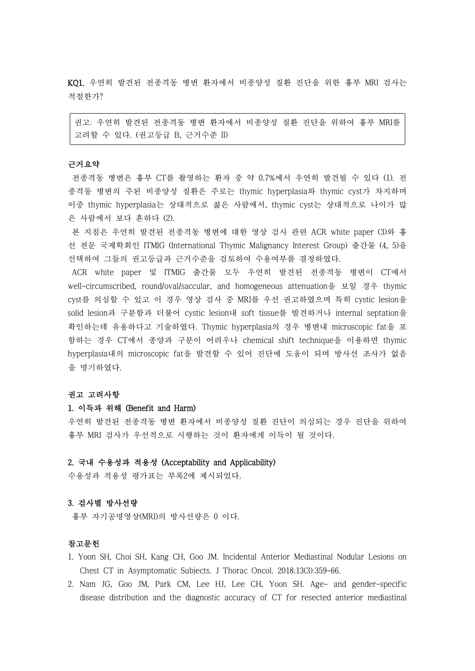KQ1. 우연히 발견된 전종격동 병변 환자에서 비종양성 질환 진단을 위한 흉부 MRI 검사는 적절한가?

권고: 우연히 발견된 전종격동 병변 환자에서 비종양성 질환 진단을 위하여 흉부 MRI를 고려할 수 있다. (권고등급 B, 근거수준 II)

## 근거요약

전종격동 병변은 흉부 CT를 촬영하는 환자 중 약 0.7%에서 우연히 발견될 수 있다 (1). 전 종격동 병변의 주된 비종양성 질환은 주로는 thymic hyperplasia와 thymic cyst가 차지하며 이중 thymic hyperplasia는 상대적으로 젊은 사람에서, thymic cyst는 상대적으로 나이가 많 은 사람에서 보다 흔하다 (2).

본 지침은 우연히 발견된 전종격동 병변에 대한 영상 검사 관련 ACR white paper (3)와 흉 선 전문 국제학회인 ITMIG (International Thymic Malignancy Interest Group) 출간물 (4, 5)을 선택하여 그들의 권고등급과 근거수준을 검토하여 수용여부를 결정하였다.<br>ACR white paper 및 ITMIG 출간물 모두 우연히 발견된 전종격동 병변이 CT에서

well-circumscribed, round/oval/saccular, and homogeneous attenuation을 보일 경우 thymic cyst를 의심할 수 있고 이 경우 영상 검사 중 MRI를 우선 권고하였으며 특히 cystic lesion을 solid lesion과 구분함과 더불어 cystic lesion내 soft tissue를 발견하거나 internal septation을 확인하는데 유용하다고 기술하였다. Thymic hyperplasia의 경우 병변내 microscopic fat을 포 함하는 경우 CT에서 종양과 구분이 어려우나 chemical shift technique을 이용하면 thymic hyperplasia내의 microscopic fat을 발견할 수 있어 진단에 도움이 되며 방사선 조사가 없음 을 명기하였다.

# 권고 고려사항

# 1. 이득과 위해 (Benefit and Harm)

우연히 발견된 전종격동 병변 환자에서 비종양성 질환 진단이 의심되는 경우 진단을 위하여 흉부 MRI 검사가 우선적으로 시행하는 것이 환자에게 이득이 될 것이다.

## 2. 국내 수용성과 적용성 (Acceptability and Applicability)

수용성과 적용성 평가표는 부록2에 제시되었다.

### 3. 검사별 방사선량

흉부 자기공명영상(MRI)의 방사선량은 0 이다.

### 참고문헌

- 1. Yoon SH, Choi SH, Kang CH, Goo JM. Incidental Anterior Mediastinal Nodular Lesions on Chest CT in Asymptomatic Subjects. J Thorac Oncol. 2018;13(3):359-66.
- 2. Nam JG, Goo JM, Park CM, Lee HJ, Lee CH, Yoon SH. Age- and gender-specific disease distribution and the diagnostic accuracy of CT for resected anterior mediastinal